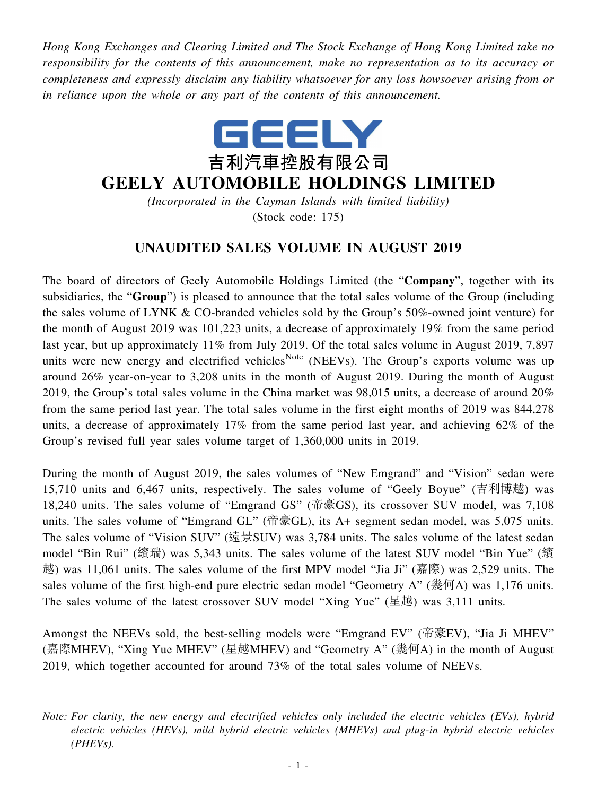*Hong Kong Exchanges and Clearing Limited and The Stock Exchange of Hong Kong Limited take no responsibility for the contents of this announcement, make no representation as to its accuracy or completeness and expressly disclaim any liability whatsoever for any loss howsoever arising from or in reliance upon the whole or any part of the contents of this announcement.*



## **GEELY AUTOMOBILE HOLDINGS LIMITED**

*(Incorporated in the Cayman Islands with limited liability)* (Stock code: 175)

## **UNAUDITED SALES VOLUME IN AUGUST 2019**

The board of directors of Geely Automobile Holdings Limited (the "**Company**", together with its subsidiaries, the "**Group**") is pleased to announce that the total sales volume of the Group (including the sales volume of LYNK & CO-branded vehicles sold by the Group's 50%-owned joint venture) for the month of August 2019 was 101,223 units, a decrease of approximately 19% from the same period last year, but up approximately 11% from July 2019. Of the total sales volume in August 2019, 7,897 units were new energy and electrified vehicles<sup>Note</sup> (NEEVs). The Group's exports volume was up around 26% year-on-year to 3,208 units in the month of August 2019. During the month of August 2019, the Group's total sales volume in the China market was 98,015 units, a decrease of around 20% from the same period last year. The total sales volume in the first eight months of 2019 was 844,278 units, a decrease of approximately 17% from the same period last year, and achieving 62% of the Group's revised full year sales volume target of 1,360,000 units in 2019.

During the month of August 2019, the sales volumes of "New Emgrand" and "Vision" sedan were 15,710 units and 6,467 units, respectively. The sales volume of "Geely Boyue" (吉利博越) was 18,240 units. The sales volume of "Emgrand GS" (帝豪GS), its crossover SUV model, was 7,108 units. The sales volume of "Emgrand GL" (帝豪GL), its A+ segment sedan model, was 5,075 units. The sales volume of "Vision SUV" (遠景SUV) was 3,784 units. The sales volume of the latest sedan model "Bin Rui" (繽瑞) was 5,343 units. The sales volume of the latest SUV model "Bin Yue" (繽 越) was 11,061 units. The sales volume of the first MPV model "Jia Ji" (嘉際) was 2,529 units. The sales volume of the first high-end pure electric sedan model "Geometry A" (幾何A) was 1,176 units. The sales volume of the latest crossover SUV model "Xing Yue" (星越) was 3,111 units.

Amongst the NEEVs sold, the best-selling models were "Emgrand EV" (帝豪EV), "Jia Ji MHEV" (嘉際MHEV), "Xing Yue MHEV" (星越MHEV) and "Geometry A" (幾何A) in the month of August 2019, which together accounted for around 73% of the total sales volume of NEEVs.

*Note: For clarity, the new energy and electrified vehicles only included the electric vehicles (EVs), hybrid electric vehicles (HEVs), mild hybrid electric vehicles (MHEVs) and plug-in hybrid electric vehicles (PHEVs).*